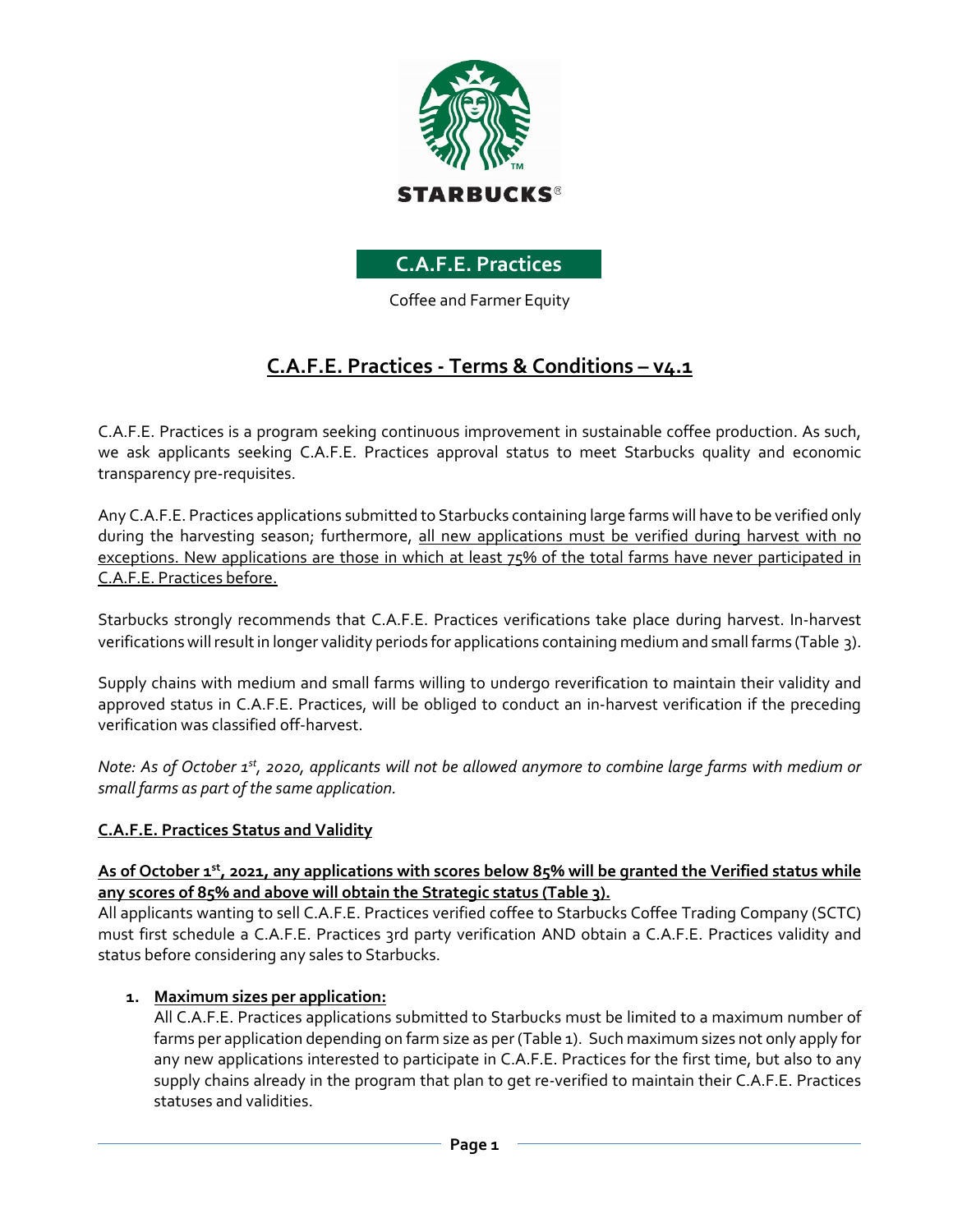

## **C.A.F.E. Practices**

Coffee and Farmer Equity

# **C.A.F.E. Practices - Terms & Conditions – v4.1**

C.A.F.E. Practices is a program seeking continuous improvement in sustainable coffee production. As such, we ask applicants seeking C.A.F.E. Practices approval status to meet Starbucks quality and economic transparency pre-requisites.

Any C.A.F.E. Practices applications submitted to Starbucks containing large farms will have to be verified only during the harvesting season; furthermore, all new applications must be verified during harvest with no exceptions. New applications are those in which at least 75% of the total farms have never participated in C.A.F.E. Practices before.

Starbucks strongly recommends that C.A.F.E. Practices verifications take place during harvest. In-harvest verifications will result in longer validity periods for applications containing medium and small farms (Table 3).

Supply chains with medium and small farms willing to undergo reverification to maintain their validity and approved status in C.A.F.E. Practices, will be obliged to conduct an in-harvest verification if the preceding verification was classified off-harvest.

*Note: As of October 1st, 2020, applicants will not be allowed anymore to combine large farms with medium or small farms as part of the same application.*

#### **C.A.F.E. Practices Status and Validity**

#### As of October 1<sup>st</sup>, 2021, any applications with scores below 85% will be granted the Verified status while **any scores of 85% and above will obtain the Strategic status (Table 3).**

All applicants wanting to sell C.A.F.E. Practices verified coffee to Starbucks Coffee Trading Company (SCTC) must first schedule a C.A.F.E. Practices 3rd party verification AND obtain a C.A.F.E. Practices validity and status before considering any sales to Starbucks.

#### **1. Maximum sizes per application:**

All C.A.F.E. Practices applications submitted to Starbucks must be limited to a maximum number of farms per application depending on farm size as per (Table 1). Such maximum sizes not only apply for any new applications interested to participate in C.A.F.E. Practices for the first time, but also to any supply chains already in the program that plan to get re-verified to maintain their C.A.F.E. Practices statuses and validities.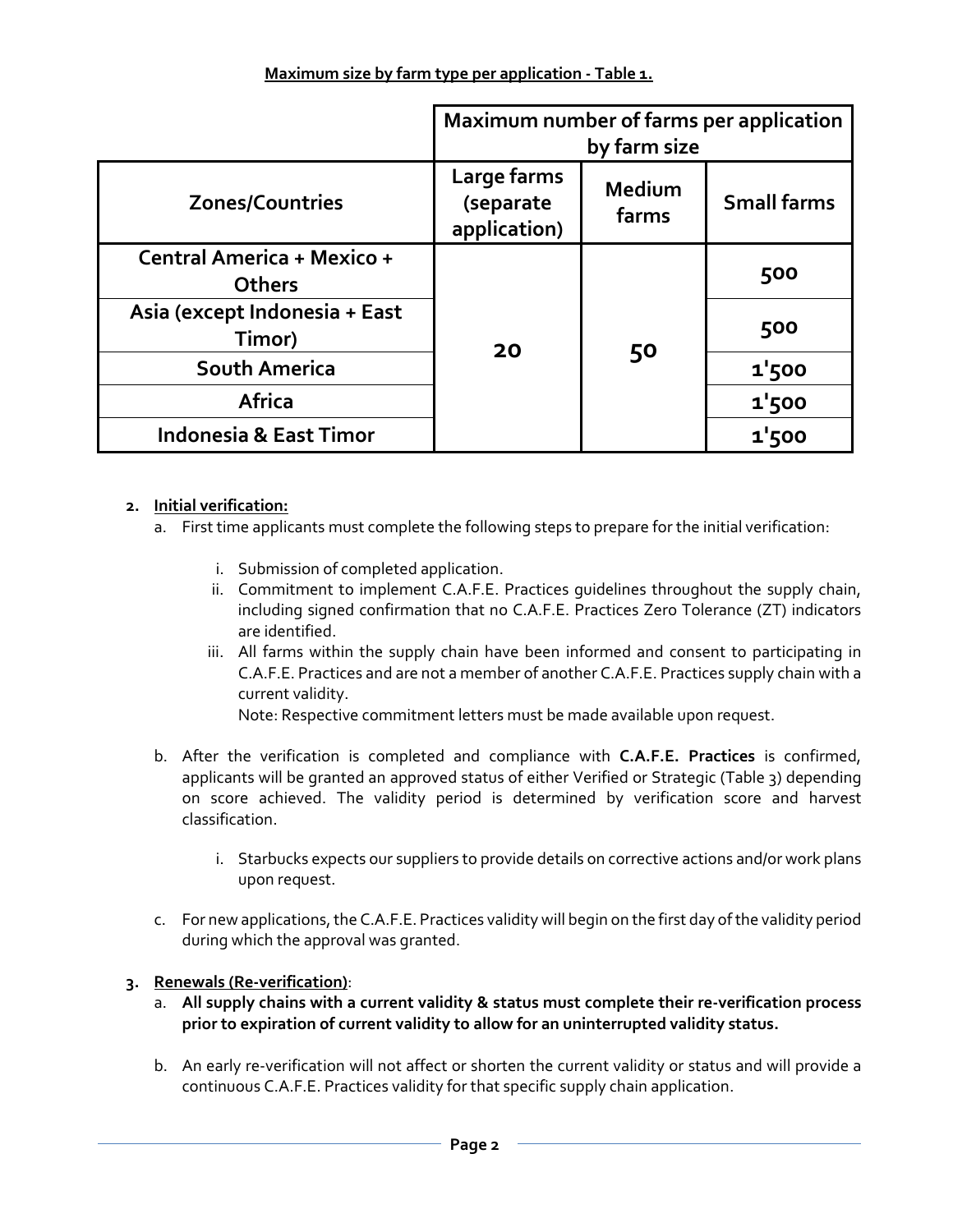|                                             | Maximum number of farms per application<br>by farm size |                 |                    |
|---------------------------------------------|---------------------------------------------------------|-----------------|--------------------|
| <b>Zones/Countries</b>                      | Large farms<br>(separate<br>application)                | Medium<br>farms | <b>Small farms</b> |
| Central America + Mexico +<br><b>Others</b> | 20                                                      | 50              | 500                |
| Asia (except Indonesia + East<br>Timor)     |                                                         |                 | 500                |
| South America                               |                                                         |                 | 1'500              |
| <b>Africa</b>                               |                                                         |                 | 1'500              |
| <b>Indonesia &amp; East Timor</b>           |                                                         |                 | 1'500              |

## **2. Initial verification:**

- a. First time applicants must complete the following steps to prepare for the initial verification:
	- i. Submission of completed application.
	- ii. Commitment to implement C.A.F.E. Practices guidelines throughout the supply chain, including signed confirmation that no C.A.F.E. Practices Zero Tolerance (ZT) indicators are identified.
	- iii. All farms within the supply chain have been informed and consent to participating in C.A.F.E. Practices and are not a member of another C.A.F.E. Practices supply chain with a current validity.

Note: Respective commitment letters must be made available upon request.

- b. After the verification is completed and compliance with **C.A.F.E. Practices** is confirmed, applicants will be granted an approved status of either Verified or Strategic (Table 3) depending on score achieved. The validity period is determined by verification score and harvest classification.
	- i. Starbucks expects our suppliers to provide details on corrective actions and/or work plans upon request.
- c. For new applications, the C.A.F.E. Practices validity will begin on the first day of the validity period during which the approval was granted.

#### **3. Renewals (Re-verification)**:

- a. **All supply chains with a current validity & status must complete their re-verification process prior to expiration of current validity to allow for an uninterrupted validity status.**
- b. An early re-verification will not affect or shorten the current validity or status and will provide a continuous C.A.F.E. Practices validity for that specific supply chain application.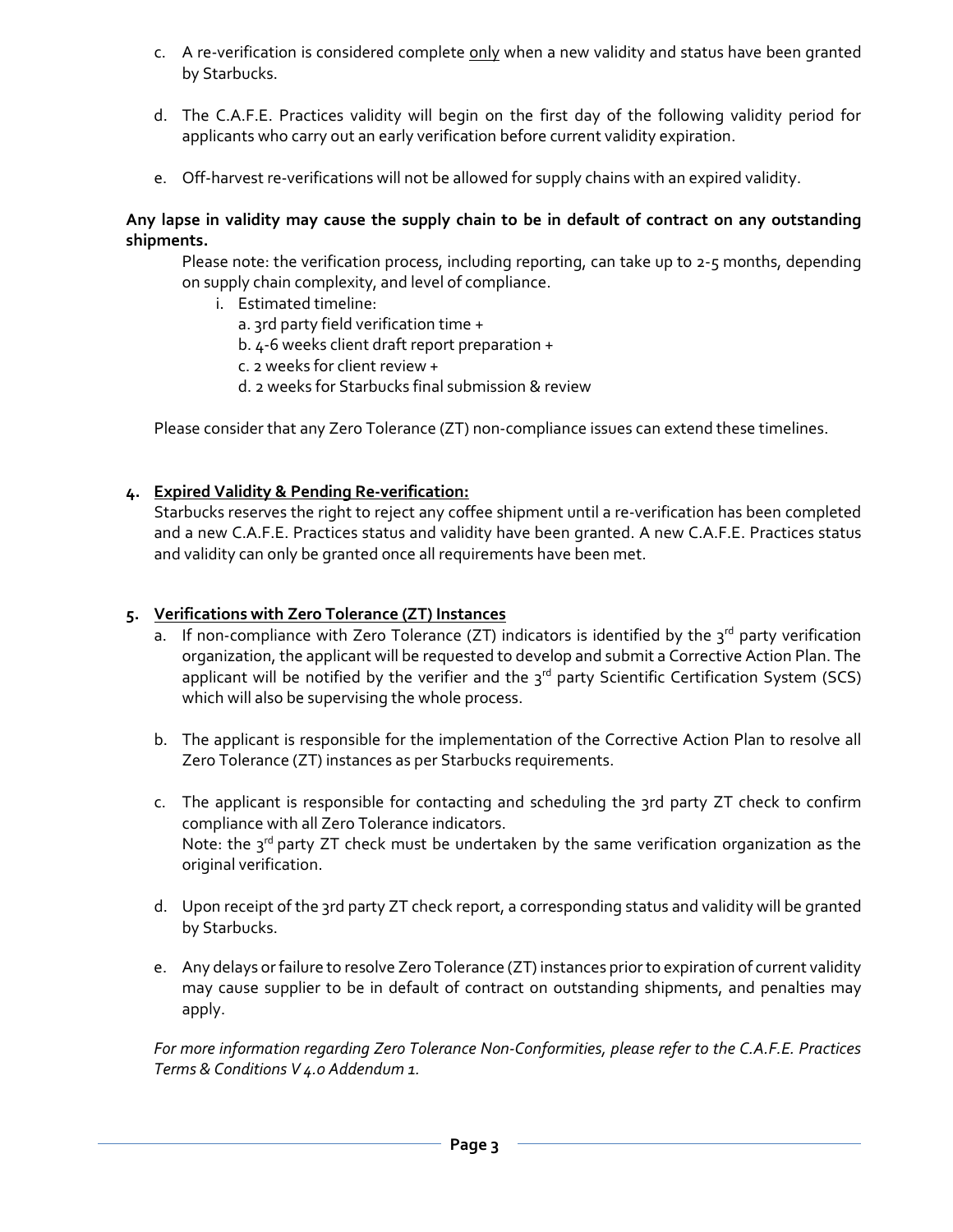- c. A re-verification is considered complete only when a new validity and status have been granted by Starbucks.
- d. The C.A.F.E. Practices validity will begin on the first day of the following validity period for applicants who carry out an early verification before current validity expiration.
- e. Off-harvest re-verifications will not be allowed for supply chains with an expired validity.

#### **Any lapse in validity may cause the supply chain to be in default of contract on any outstanding shipments.**

Please note: the verification process, including reporting, can take up to 2-5 months, depending on supply chain complexity, and level of compliance.

- i. Estimated timeline:
	- a. 3rd party field verification time +
	- b. 4-6 weeks client draft report preparation +
	- c. 2 weeks for client review +
	- d. 2 weeks for Starbucks final submission & review

Please consider that any Zero Tolerance (ZT) non-compliance issues can extend these timelines.

## **4. Expired Validity & Pending Re-verification:**

Starbucks reserves the right to reject any coffee shipment until a re-verification has been completed and a new C.A.F.E. Practices status and validity have been granted. A new C.A.F.E. Practices status and validity can only be granted once all requirements have been met.

#### **5. Verifications with Zero Tolerance (ZT) Instances**

- a. If non-compliance with Zero Tolerance (ZT) indicators is identified by the  $3^{rd}$  party verification organization, the applicant will be requested to develop and submit a Corrective Action Plan. The applicant will be notified by the verifier and the  $3^{rd}$  party Scientific Certification System (SCS) which will also be supervising the whole process.
- b. The applicant is responsible for the implementation of the Corrective Action Plan to resolve all Zero Tolerance (ZT) instances as per Starbucks requirements.
- c. The applicant is responsible for contacting and scheduling the 3rd party ZT check to confirm compliance with all Zero Tolerance indicators. Note: the  $3^{rd}$  party ZT check must be undertaken by the same verification organization as the original verification.
- d. Upon receipt of the 3rd party ZT check report, a corresponding status and validity will be granted by Starbucks.
- e. Any delays or failure to resolve Zero Tolerance (ZT) instances prior to expiration of current validity may cause supplier to be in default of contract on outstanding shipments, and penalties may apply.

*For more information regarding Zero Tolerance Non-Conformities, please refer to the C.A.F.E. Practices Terms & Conditions V 4.0 Addendum 1.*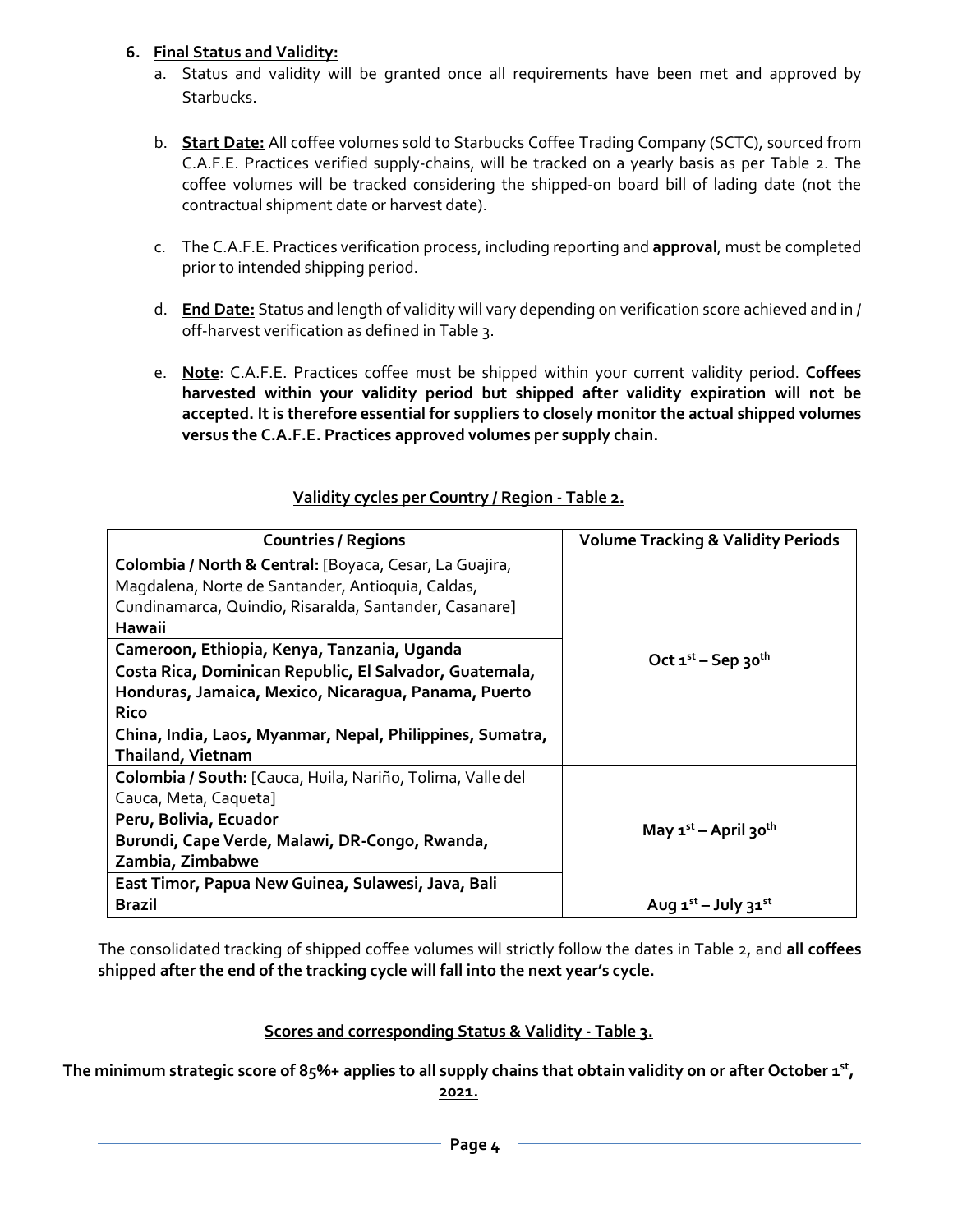## **6. Final Status and Validity:**

- a. Status and validity will be granted once all requirements have been met and approved by Starbucks.
- b. **Start Date:** All coffee volumes sold to Starbucks Coffee Trading Company (SCTC), sourced from C.A.F.E. Practices verified supply-chains, will be tracked on a yearly basis as per Table 2. The coffee volumes will be tracked considering the shipped-on board bill of lading date (not the contractual shipment date or harvest date).
- c. The C.A.F.E. Practices verification process, including reporting and **approval**, must be completed prior to intended shipping period.
- d. **End Date:** Status and length of validity will vary depending on verification score achieved and in / off-harvest verification as defined in Table 3.
- e. **Note**: C.A.F.E. Practices coffee must be shipped within your current validity period. **Coffees harvested within your validity period but shipped after validity expiration will not be accepted. It is therefore essential for suppliers to closely monitor the actual shipped volumes versus the C.A.F.E. Practices approved volumes per supply chain.**

| <b>Countries / Regions</b>                                 | <b>Volume Tracking &amp; Validity Periods</b>         |  |
|------------------------------------------------------------|-------------------------------------------------------|--|
| Colombia / North & Central: [Boyaca, Cesar, La Guajira,    | Oct $1^{st}$ – Sep 30 <sup>th</sup>                   |  |
| Magdalena, Norte de Santander, Antioquia, Caldas,          |                                                       |  |
| Cundinamarca, Quindio, Risaralda, Santander, Casanare]     |                                                       |  |
| Hawaii                                                     |                                                       |  |
| Cameroon, Ethiopia, Kenya, Tanzania, Uganda                |                                                       |  |
| Costa Rica, Dominican Republic, El Salvador, Guatemala,    |                                                       |  |
| Honduras, Jamaica, Mexico, Nicaragua, Panama, Puerto       |                                                       |  |
| <b>Rico</b>                                                |                                                       |  |
| China, India, Laos, Myanmar, Nepal, Philippines, Sumatra,  |                                                       |  |
| <b>Thailand, Vietnam</b>                                   |                                                       |  |
| Colombia / South: [Cauca, Huila, Nariño, Tolima, Valle del | May $\mathbf{1}^{\text{st}}$ – April 30 <sup>th</sup> |  |
| Cauca, Meta, Caqueta]                                      |                                                       |  |
| Peru, Bolivia, Ecuador                                     |                                                       |  |
| Burundi, Cape Verde, Malawi, DR-Congo, Rwanda,             |                                                       |  |
| Zambia, Zimbabwe                                           |                                                       |  |
| East Timor, Papua New Guinea, Sulawesi, Java, Bali         |                                                       |  |
| <b>Brazil</b>                                              | Aug $1^{st}$ – July $31^{st}$                         |  |

## **Validity cycles per Country / Region - Table 2.**

The consolidated tracking of shipped coffee volumes will strictly follow the dates in Table 2, and **all coffees shipped after the end of the tracking cycle will fall into the next year's cycle.**

## **Scores and corresponding Status & Validity - Table 3.**

## **The minimum strategic score of 85%+ applies to all supply chains that obtain validity on or after October 1st,**

**2021.**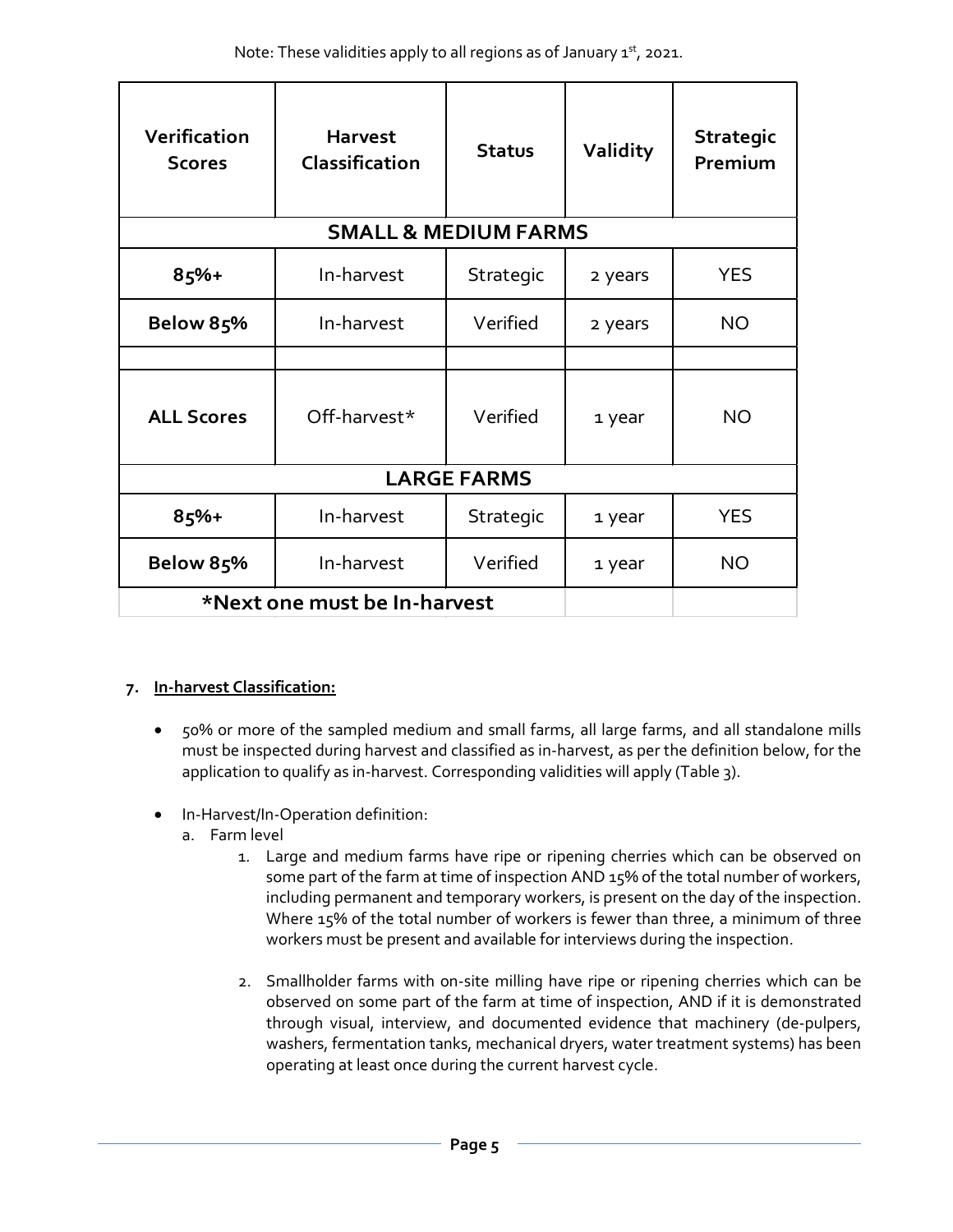| Verification<br><b>Scores</b>   | <b>Harvest</b><br>Classification | <b>Status</b> | <b>Validity</b> | <b>Strategic</b><br>Premium |  |  |  |  |
|---------------------------------|----------------------------------|---------------|-----------------|-----------------------------|--|--|--|--|
| <b>SMALL &amp; MEDIUM FARMS</b> |                                  |               |                 |                             |  |  |  |  |
| $85%+$                          | In-harvest                       | Strategic     | 2 years         | <b>YES</b>                  |  |  |  |  |
| Below 85%                       | In-harvest                       | Verified      | 2 years         | <b>NO</b>                   |  |  |  |  |
| <b>ALL Scores</b>               | Off-harvest*                     | Verified      | 1 year          | <b>NO</b>                   |  |  |  |  |
| <b>LARGE FARMS</b>              |                                  |               |                 |                             |  |  |  |  |
| 85%+                            | In-harvest                       | Strategic     | 1 year          | <b>YES</b>                  |  |  |  |  |
| Below 85%                       | In-harvest                       | Verified      | 1 year          | <b>NO</b>                   |  |  |  |  |
| *Next one must be In-harvest    |                                  |               |                 |                             |  |  |  |  |

## **7. In-harvest Classification:**

- 50% or more of the sampled medium and small farms, all large farms, and all standalone mills must be inspected during harvest and classified as in-harvest, as per the definition below, for the application to qualify as in-harvest. Corresponding validities will apply (Table 3).
- In-Harvest/In-Operation definition:
	- a. Farm level
		- 1. Large and medium farms have ripe or ripening cherries which can be observed on some part of the farm at time of inspection AND 15% of the total number of workers, including permanent and temporary workers, is present on the day of the inspection. Where 15% of the total number of workers is fewer than three, a minimum of three workers must be present and available for interviews during the inspection.
		- 2. Smallholder farms with on-site milling have ripe or ripening cherries which can be observed on some part of the farm at time of inspection, AND if it is demonstrated through visual, interview, and documented evidence that machinery (de-pulpers, washers, fermentation tanks, mechanical dryers, water treatment systems) has been operating at least once during the current harvest cycle.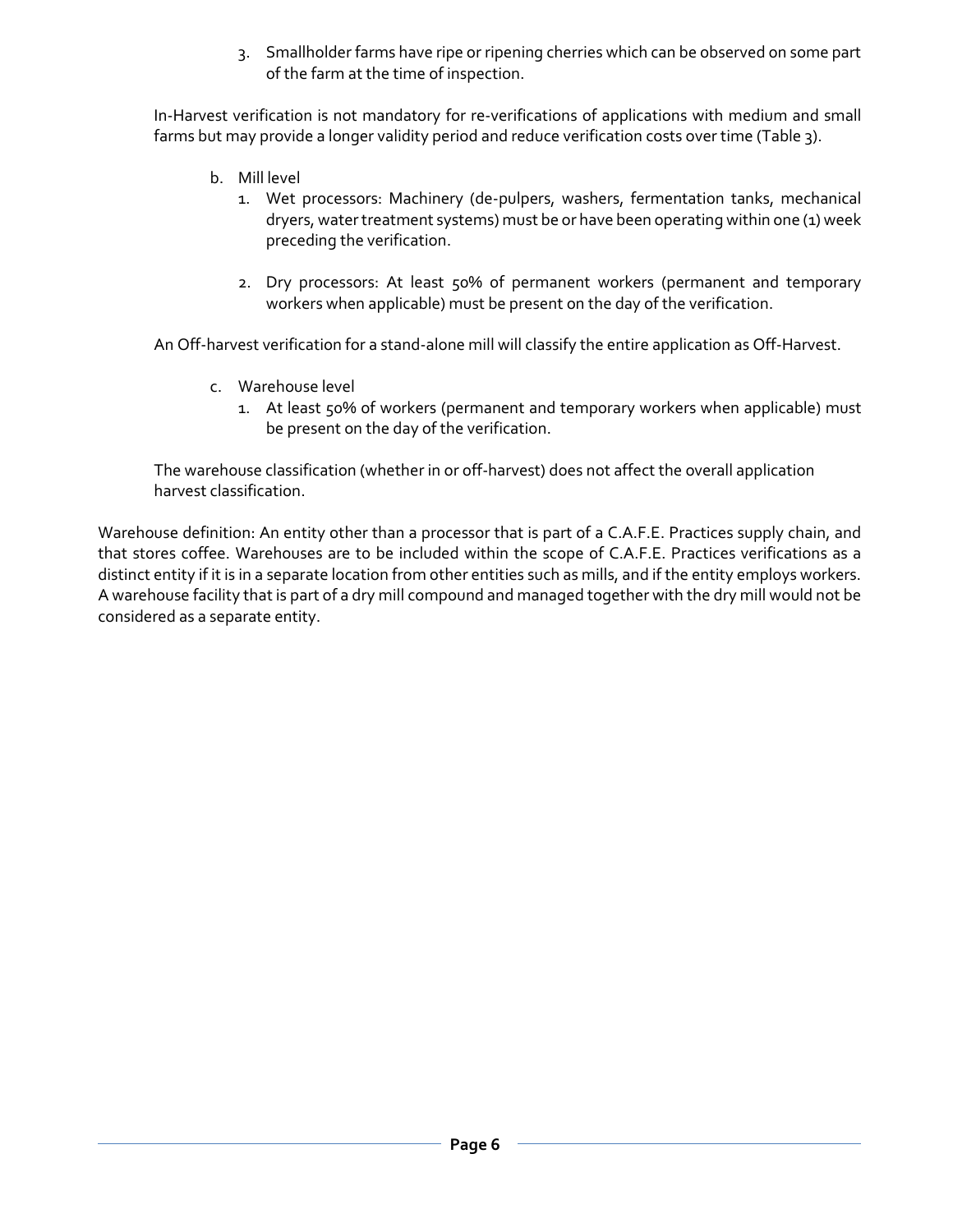3. Smallholder farms have ripe or ripening cherries which can be observed on some part of the farm at the time of inspection.

In-Harvest verification is not mandatory for re-verifications of applications with medium and small farms but may provide a longer validity period and reduce verification costs over time (Table 3).

- b. Mill level
	- 1. Wet processors: Machinery (de-pulpers, washers, fermentation tanks, mechanical dryers, water treatment systems) must be or have been operating within one (1) week preceding the verification.
	- 2. Dry processors: At least 50% of permanent workers (permanent and temporary workers when applicable) must be present on the day of the verification.

An Off-harvest verification for a stand-alone mill will classify the entire application as Off-Harvest.

- c. Warehouse level
	- 1. At least 50% of workers (permanent and temporary workers when applicable) must be present on the day of the verification.

The warehouse classification (whether in or off-harvest) does not affect the overall application harvest classification.

Warehouse definition: An entity other than a processor that is part of a C.A.F.E. Practices supply chain, and that stores coffee. Warehouses are to be included within the scope of C.A.F.E. Practices verifications as a distinct entity if it is in a separate location from other entities such as mills, and if the entity employs workers. A warehouse facility that is part of a dry mill compound and managed together with the dry mill would not be considered as a separate entity.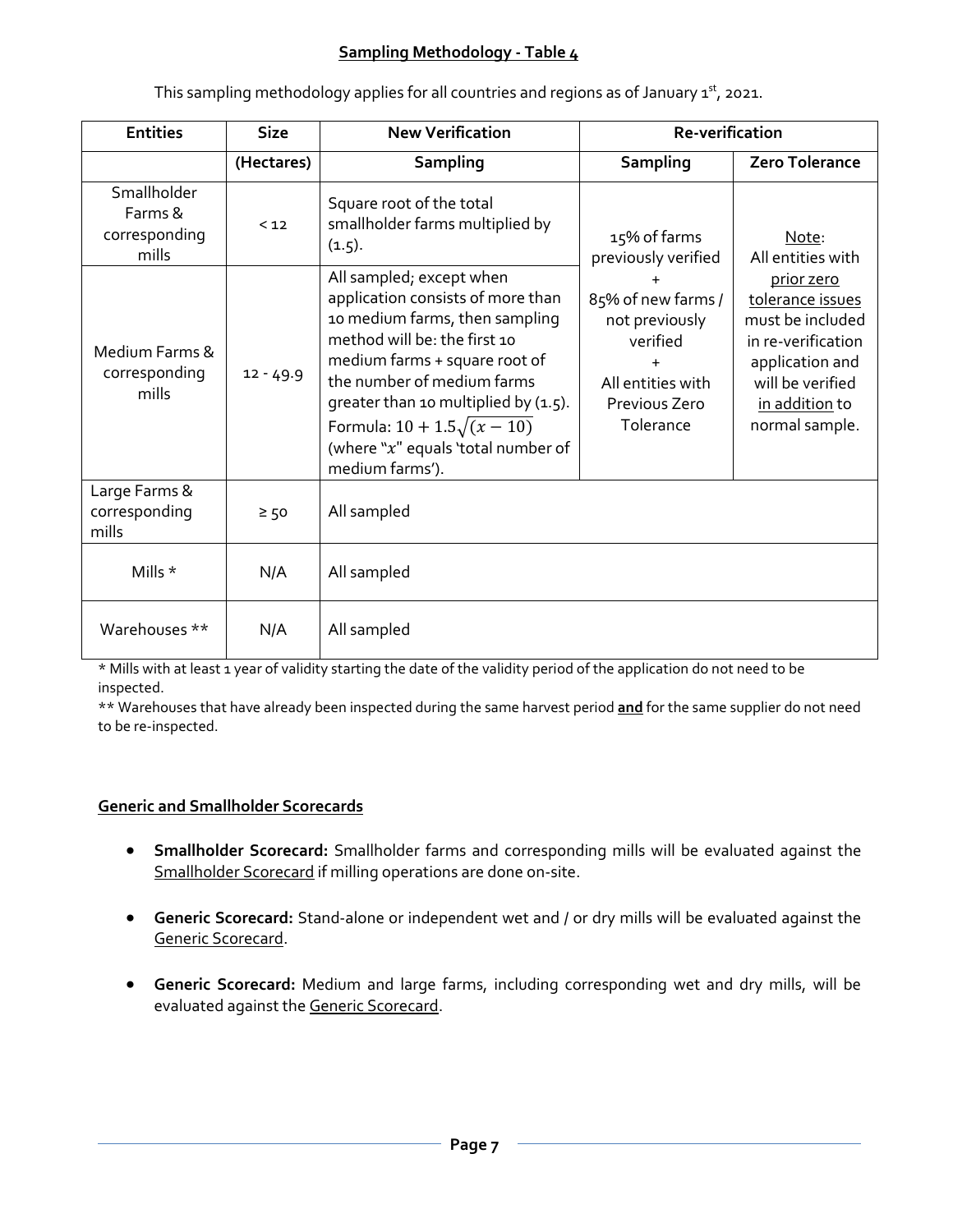#### **Sampling Methodology - Table 4**

| <b>Entities</b>                                  | <b>Size</b> | <b>New Verification</b>                                                                                                                                                                                                                                                                                                             | Re-verification                                                                                                  |                                                                                                                                                                                   |
|--------------------------------------------------|-------------|-------------------------------------------------------------------------------------------------------------------------------------------------------------------------------------------------------------------------------------------------------------------------------------------------------------------------------------|------------------------------------------------------------------------------------------------------------------|-----------------------------------------------------------------------------------------------------------------------------------------------------------------------------------|
|                                                  | (Hectares)  | <b>Sampling</b>                                                                                                                                                                                                                                                                                                                     | Sampling                                                                                                         | <b>Zero Tolerance</b>                                                                                                                                                             |
| Smallholder<br>Farms &<br>corresponding<br>mills | $12$        | Square root of the total<br>smallholder farms multiplied by<br>(1.5).                                                                                                                                                                                                                                                               | 15% of farms<br>previously verified                                                                              | Note:<br>All entities with<br>prior zero<br>tolerance issues<br>must be included<br>in re-verification<br>application and<br>will be verified<br>in addition to<br>normal sample. |
| Medium Farms &<br>corresponding<br>mills         | $12 - 49.9$ | All sampled; except when<br>application consists of more than<br>10 medium farms, then sampling<br>method will be: the first 10<br>medium farms + square root of<br>the number of medium farms<br>greater than 10 multiplied by (1.5).<br>Formula: $10 + 1.5\sqrt{(x-10)}$<br>(where "x" equals 'total number of<br>medium farms'). | 85% of new farms /<br>not previously<br>verified<br>$\ddot{}$<br>All entities with<br>Previous Zero<br>Tolerance |                                                                                                                                                                                   |
| Large Farms &<br>corresponding<br>mills          | $\geq 50$   | All sampled                                                                                                                                                                                                                                                                                                                         |                                                                                                                  |                                                                                                                                                                                   |
| Mills *                                          | N/A         | All sampled                                                                                                                                                                                                                                                                                                                         |                                                                                                                  |                                                                                                                                                                                   |
| Warehouses **                                    | N/A         | All sampled                                                                                                                                                                                                                                                                                                                         |                                                                                                                  |                                                                                                                                                                                   |

This sampling methodology applies for all countries and regions as of January  $1<sup>st</sup>$ , 2021.

\* Mills with at least 1 year of validity starting the date of the validity period of the application do not need to be inspected.

\*\* Warehouses that have already been inspected during the same harvest period **and** for the same supplier do not need to be re-inspected.

#### **Generic and Smallholder Scorecards**

- **Smallholder Scorecard:** Smallholder farms and corresponding mills will be evaluated against the Smallholder Scorecard if milling operations are done on-site.
- **Generic Scorecard:** Stand-alone or independent wet and / or dry mills will be evaluated against the Generic Scorecard.
- **Generic Scorecard:** Medium and large farms, including corresponding wet and dry mills, will be evaluated against the Generic Scorecard.